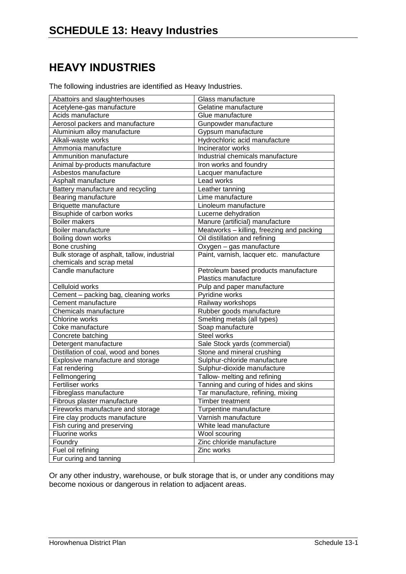## **HEAVY INDUSTRIES**

The following industries are identified as Heavy Industries.

| Abattoirs and slaughterhouses               | Glass manufacture                         |
|---------------------------------------------|-------------------------------------------|
| Acetylene-gas manufacture                   | Gelatine manufacture                      |
| Acids manufacture                           | Glue manufacture                          |
| Aerosol packers and manufacture             | Gunpowder manufacture                     |
| Aluminium alloy manufacture                 | Gypsum manufacture                        |
| Alkali-waste works                          | Hydrochloric acid manufacture             |
| Ammonia manufacture                         | Incinerator works                         |
| Ammunition manufacture                      | Industrial chemicals manufacture          |
| Animal by-products manufacture              | Iron works and foundry                    |
| Asbestos manufacture                        | Lacquer manufacture                       |
| Asphalt manufacture                         | Lead works                                |
| Battery manufacture and recycling           | Leather tanning                           |
| Bearing manufacture                         | Lime manufacture                          |
| Briquette manufacture                       | Linoleum manufacture                      |
| Bisuphide of carbon works                   | Lucerne dehydration                       |
| <b>Boiler makers</b>                        | Manure (artificial) manufacture           |
| Boiler manufacture                          | Meatworks - killing, freezing and packing |
| Boiling down works                          | Oil distillation and refining             |
| Bone crushing                               | Oxygen - gas manufacture                  |
| Bulk storage of asphalt, tallow, industrial | Paint, varnish, lacquer etc. manufacture  |
| chemicals and scrap metal                   |                                           |
| Candle manufacture                          | Petroleum based products manufacture      |
|                                             | Plastics manufacture                      |
| Celluloid works                             | Pulp and paper manufacture                |
| Cement - packing bag, cleaning works        | Pyridine works                            |
| Cement manufacture                          | Railway workshops                         |
| Chemicals manufacture                       | Rubber goods manufacture                  |
| Chlorine works                              | Smelting metals (all types)               |
| Coke manufacture                            | Soap manufacture                          |
| Concrete batching                           | Steel works                               |
| Detergent manufacture                       | Sale Stock yards (commercial)             |
| Distillation of coal, wood and bones        | Stone and mineral crushing                |
| Explosive manufacture and storage           | Sulphur-chloride manufacture              |
| Fat rendering                               | Sulphur-dioxide manufacture               |
| Fellmongering                               | Tallow- melting and refining              |
| Fertiliser works                            | Tanning and curing of hides and skins     |
| Fibreglass manufacture                      | Tar manufacture, refining, mixing         |
| Fibrous plaster manufacture                 | Timber treatment                          |
| Fireworks manufacture and storage           | Turpentine manufacture                    |
| Fire clay products manufacture              | Varnish manufacture                       |
| Fish curing and preserving                  | White lead manufacture                    |
| Fluorine works                              | Wool scouring                             |
| Foundry                                     | Zinc chloride manufacture                 |
| Fuel oil refining                           | Zinc works                                |
| Fur curing and tanning                      |                                           |

Or any other industry, warehouse, or bulk storage that is, or under any conditions may become noxious or dangerous in relation to adjacent areas.